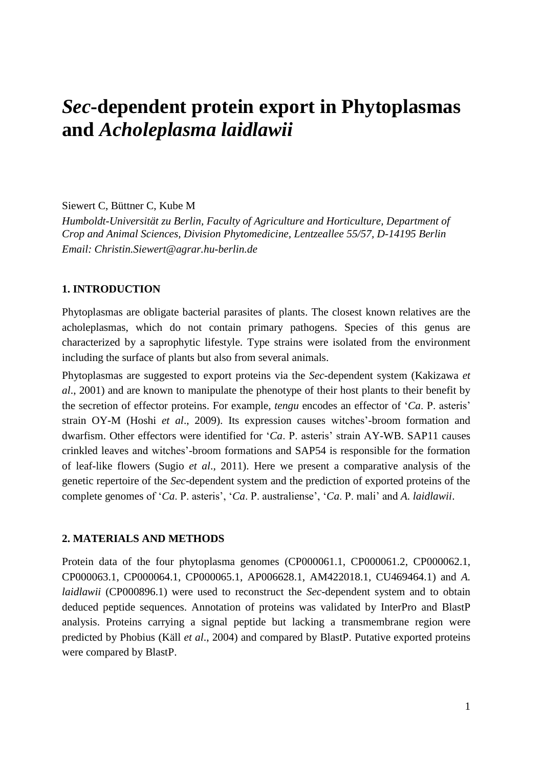# *Sec***-dependent protein export in Phytoplasmas and** *Acholeplasma laidlawii*

# Siewert C, Büttner C, Kube M

*Humboldt-Universität zu Berlin, Faculty of Agriculture and Horticulture, Department of Crop and Animal Sciences, Division Phytomedicine, Lentzeallee 55/57, D-14195 Berlin Email: Christin.Siewert@agrar.hu-berlin.de*

# **1. INTRODUCTION**

Phytoplasmas are obligate bacterial parasites of plants. The closest known relatives are the acholeplasmas, which do not contain primary pathogens. Species of this genus are characterized by a saprophytic lifestyle. Type strains were isolated from the environment including the surface of plants but also from several animals.

Phytoplasmas are suggested to export proteins via the *Sec*-dependent system (Kakizawa *et al*., 2001) and are known to manipulate the phenotype of their host plants to their benefit by the secretion of effector proteins. For example, *tengu* encodes an effector of '*Ca*. P. asteris' strain OY-M (Hoshi *et al*., 2009). Its expression causes witches'-broom formation and dwarfism. Other effectors were identified for '*Ca*. P. asteris' strain AY-WB. SAP11 causes crinkled leaves and witches'-broom formations and SAP54 is responsible for the formation of leaf-like flowers (Sugio *et al*., 2011). Here we present a comparative analysis of the genetic repertoire of the *Sec*-dependent system and the prediction of exported proteins of the complete genomes of '*Ca*. P. asteris', '*Ca*. P. australiense', '*Ca*. P. mali' and *A. laidlawii*.

#### **2. MATERIALS AND METHODS**

Protein data of the four phytoplasma genomes (CP000061.1, CP000061.2, CP000062.1, CP000063.1, CP000064.1, CP000065.1, AP006628.1, AM422018.1, CU469464.1) and *A. laidlawii* (CP000896.1) were used to reconstruct the *Sec*-dependent system and to obtain deduced peptide sequences. Annotation of proteins was validated by InterPro and BlastP analysis. Proteins carrying a signal peptide but lacking a transmembrane region were predicted by Phobius (Käll *et al*., 2004) and compared by BlastP. Putative exported proteins were compared by BlastP.